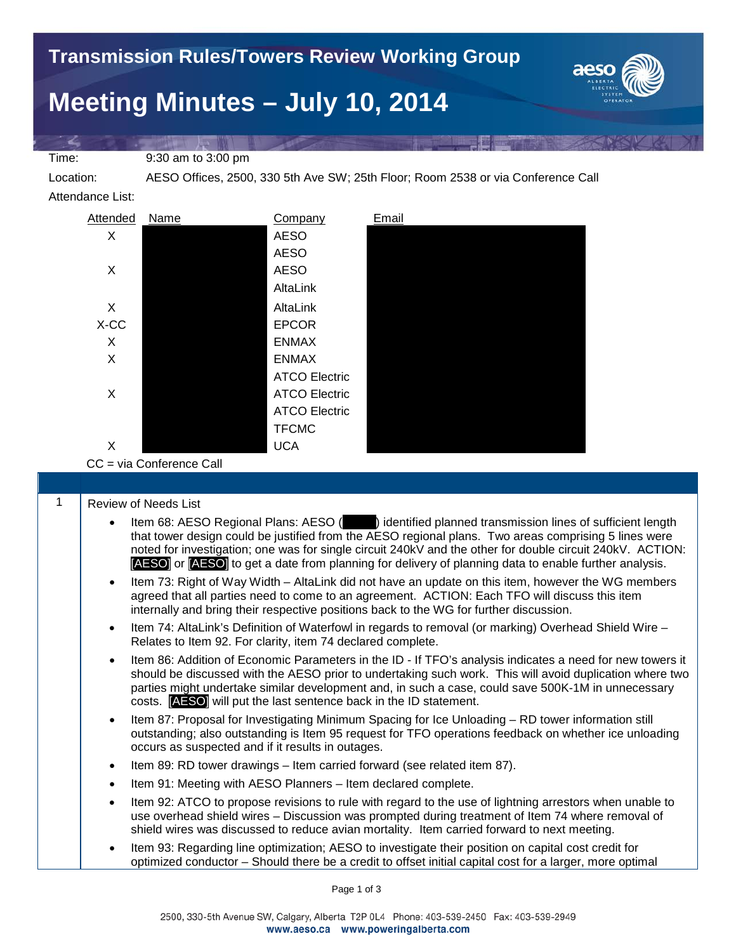## **Meeting Minutes – July 10, 2014**



Time: 9:30 am to 3:00 pm

Location: AESO Offices, 2500, 330 5th Ave SW; 25th Floor; Room 2538 or via Conference Call

Attendance List:



CC = via Conference Call

|  | Review of Needs List |
|--|----------------------|
|--|----------------------|

- Item 68: AESO Regional Plans: AESO (  $\Box$  ) identified planned transmission lines of sufficient length that tower design could be justified from the AESO regional plans. Two areas comprising 5 lines were noted for investigation; one was for single circuit 240kV and the other for double circuit 240kV. ACTION: [AESO] or [AESO] to get a date from planning for delivery of planning data to enable further analysis.
- Item 73: Right of Way Width AltaLink did not have an update on this item, however the WG members agreed that all parties need to come to an agreement. ACTION: Each TFO will discuss this item internally and bring their respective positions back to the WG for further discussion.
- Item 74: AltaLink's Definition of Waterfowl in regards to removal (or marking) Overhead Shield Wire Relates to Item 92. For clarity, item 74 declared complete.
- Item 86: Addition of Economic Parameters in the ID If TFO's analysis indicates a need for new towers it should be discussed with the AESO prior to undertaking such work. This will avoid duplication where two parties might undertake similar development and, in such a case, could save 500K-1M in unnecessary costs. [AESO] will put the last sentence back in the ID statement.
- Item 87: Proposal for Investigating Minimum Spacing for Ice Unloading RD tower information still outstanding; also outstanding is Item 95 request for TFO operations feedback on whether ice unloading occurs as suspected and if it results in outages.
- Item 89: RD tower drawings Item carried forward (see related item 87).
- Item 91: Meeting with AESO Planners Item declared complete.
- Item 92: ATCO to propose revisions to rule with regard to the use of lightning arrestors when unable to use overhead shield wires – Discussion was prompted during treatment of Item 74 where removal of shield wires was discussed to reduce avian mortality. Item carried forward to next meeting.
- Item 93: Regarding line optimization; AESO to investigate their position on capital cost credit for optimized conductor – Should there be a credit to offset initial capital cost for a larger, more optimal

Page 1 of 3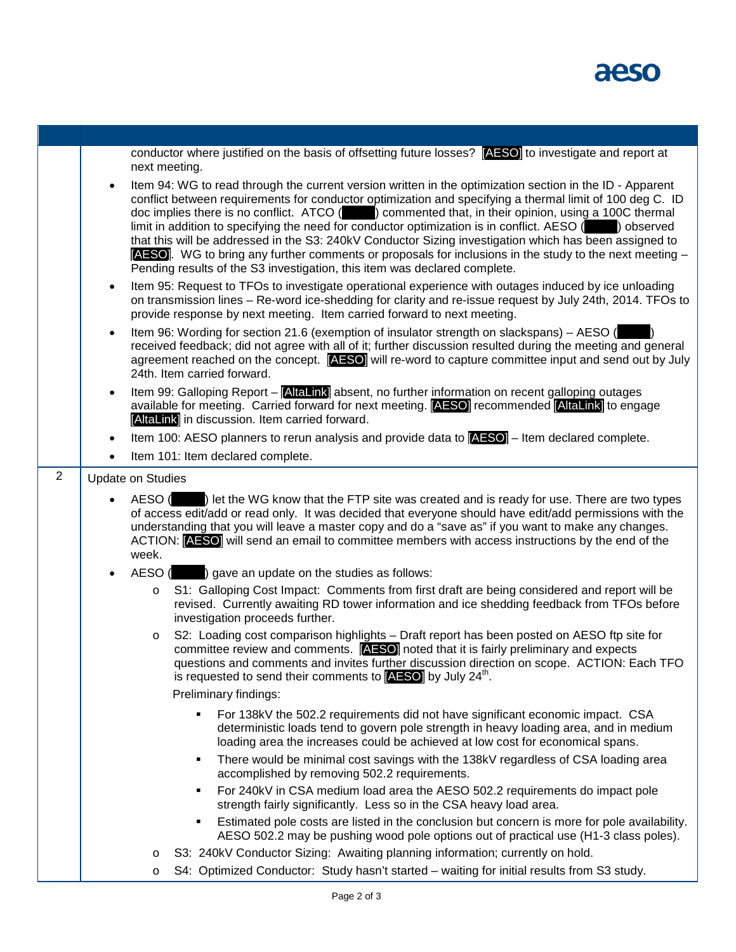

|   | conductor where justified on the basis of offsetting future losses? [AESO] to investigate and report at<br>next meeting.                                                                                                                                                                                                                                                                                                                                                                                                                                                                                                                                                                                                                                  |
|---|-----------------------------------------------------------------------------------------------------------------------------------------------------------------------------------------------------------------------------------------------------------------------------------------------------------------------------------------------------------------------------------------------------------------------------------------------------------------------------------------------------------------------------------------------------------------------------------------------------------------------------------------------------------------------------------------------------------------------------------------------------------|
|   | Item 94: WG to read through the current version written in the optimization section in the ID - Apparent<br>$\bullet$<br>conflict between requirements for conductor optimization and specifying a thermal limit of 100 deg C. ID<br>doc implies there is no conflict. ATCO () commented that, in their opinion, using a 100C thermal<br>limit in addition to specifying the need for conductor optimization is in conflict. AESO () observed<br>that this will be addressed in the S3: 240kV Conductor Sizing investigation which has been assigned to<br><b>[AESO]</b> . WG to bring any further comments or proposals for inclusions in the study to the next meeting $-$<br>Pending results of the S3 investigation, this item was declared complete. |
|   | Item 95: Request to TFOs to investigate operational experience with outages induced by ice unloading<br>$\bullet$<br>on transmission lines - Re-word ice-shedding for clarity and re-issue request by July 24th, 2014. TFOs to<br>provide response by next meeting. Item carried forward to next meeting.                                                                                                                                                                                                                                                                                                                                                                                                                                                 |
|   | Item 96: Wording for section 21.6 (exemption of insulator strength on slackspans) – AESO (<br>$\bullet$<br>received feedback; did not agree with all of it; further discussion resulted during the meeting and general<br>agreement reached on the concept. <b>[AESO]</b> will re-word to capture committee input and send out by July<br>24th. Item carried forward.                                                                                                                                                                                                                                                                                                                                                                                     |
|   | Item 99: Galloping Report - [AltaLink] absent, no further information on recent galloping outages<br>$\bullet$<br>available for meeting. Carried forward for next meeting. [AESO] recommended [AltaLink] to engage<br>[AltaLink] in discussion. Item carried forward.                                                                                                                                                                                                                                                                                                                                                                                                                                                                                     |
|   | Item 100: AESO planners to rerun analysis and provide data to $AESO$ – Item declared complete.<br>$\bullet$                                                                                                                                                                                                                                                                                                                                                                                                                                                                                                                                                                                                                                               |
|   | Item 101: Item declared complete.                                                                                                                                                                                                                                                                                                                                                                                                                                                                                                                                                                                                                                                                                                                         |
| 2 | <b>Update on Studies</b>                                                                                                                                                                                                                                                                                                                                                                                                                                                                                                                                                                                                                                                                                                                                  |
|   | AESO () let the WG know that the FTP site was created and is ready for use. There are two types<br>of access edit/add or read only. It was decided that everyone should have edit/add permissions with the<br>understanding that you will leave a master copy and do a "save as" if you want to make any changes.<br>ACTION: [AESO] will send an email to committee members with access instructions by the end of the<br>week.                                                                                                                                                                                                                                                                                                                           |
|   | AESO ( ) gave an update on the studies as follows:                                                                                                                                                                                                                                                                                                                                                                                                                                                                                                                                                                                                                                                                                                        |
|   | S1: Galloping Cost Impact: Comments from first draft are being considered and report will be<br>O<br>revised. Currently awaiting RD tower information and ice shedding feedback from TFOs before<br>investigation proceeds further.                                                                                                                                                                                                                                                                                                                                                                                                                                                                                                                       |
|   | S2: Loading cost comparison highlights - Draft report has been posted on AESO ftp site for<br>$\circ$<br>committee review and comments. [AESO] noted that it is fairly preliminary and expects<br>questions and comments and invites further discussion direction on scope. ACTION: Each TFO<br>is requested to send their comments to $[{\bf AESO}]$ by July 24 <sup>th</sup> .                                                                                                                                                                                                                                                                                                                                                                          |
|   | Preliminary findings:                                                                                                                                                                                                                                                                                                                                                                                                                                                                                                                                                                                                                                                                                                                                     |
|   | For 138kV the 502.2 requirements did not have significant economic impact. CSA<br>deterministic loads tend to govern pole strength in heavy loading area, and in medium<br>loading area the increases could be achieved at low cost for economical spans.                                                                                                                                                                                                                                                                                                                                                                                                                                                                                                 |
|   | There would be minimal cost savings with the 138kV regardless of CSA loading area<br>٠<br>accomplished by removing 502.2 requirements.                                                                                                                                                                                                                                                                                                                                                                                                                                                                                                                                                                                                                    |
|   | For 240kV in CSA medium load area the AESO 502.2 requirements do impact pole<br>٠<br>strength fairly significantly. Less so in the CSA heavy load area.                                                                                                                                                                                                                                                                                                                                                                                                                                                                                                                                                                                                   |
|   | Estimated pole costs are listed in the conclusion but concern is more for pole availability.<br>٠<br>AESO 502.2 may be pushing wood pole options out of practical use (H1-3 class poles).                                                                                                                                                                                                                                                                                                                                                                                                                                                                                                                                                                 |
|   | S3: 240kV Conductor Sizing: Awaiting planning information; currently on hold.<br>O                                                                                                                                                                                                                                                                                                                                                                                                                                                                                                                                                                                                                                                                        |
|   | S4: Optimized Conductor: Study hasn't started - waiting for initial results from S3 study.<br>O                                                                                                                                                                                                                                                                                                                                                                                                                                                                                                                                                                                                                                                           |